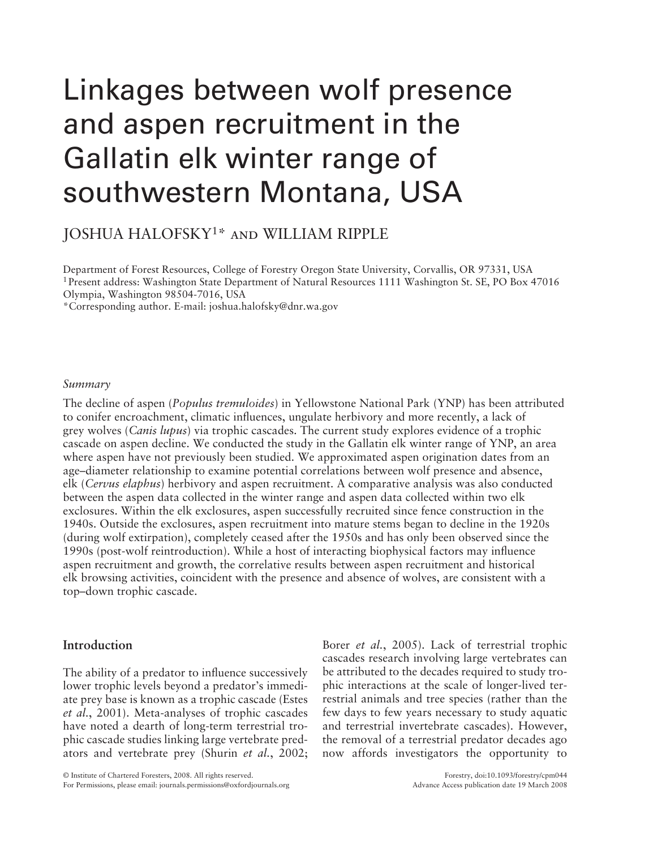# Linkages between wolf presence and aspen recruitment in the Gallatin elk winter range of southwestern Montana, USA

JOSHUA HALOFSKY 1\* and WILLIAM RIPPLE

Department of Forest Resources, College of Forestry Oregon State University, Corvallis, OR 97331, USA 1 Present address: Washington State Department of Natural Resources 1111 Washington St. SE, PO Box 47016 Olympia, Washington 98504-7016, USA

\* Corresponding author. E-mail: joshua.halofsky@dnr.wa.gov

#### *Summary*

The decline of aspen ( *Populus tremuloides*) in Yellowstone National Park (YNP) has been attributed to conifer encroachment, climatic influences, ungulate herbivory and more recently, a lack of grey wolves ( *Canis lupus*) via trophic cascades. The current study explores evidence of a trophic cascade on aspen decline. We conducted the study in the Gallatin elk winter range of YNP, an area where aspen have not previously been studied. We approximated aspen origination dates from an age – diameter relationship to examine potential correlations between wolf presence and absence, elk ( *Cervus elaphus*) herbivory and aspen recruitment. A comparative analysis was also conducted between the aspen data collected in the winter range and aspen data collected within two elk exclosures. Within the elk exclosures, aspen successfully recruited since fence construction in the 1940s. Outside the exclosures, aspen recruitment into mature stems began to decline in the 1920s (during wolf extirpation), completely ceased after the 1950s and has only been observed since the 1990s (post-wolf reintroduction). While a host of interacting biophysical factors may influence aspen recruitment and growth, the correlative results between aspen recruitment and historical elk browsing activities, coincident with the presence and absence of wolves, are consistent with a top-down trophic cascade.

## **Introduction**

The ability of a predator to influence successively lower trophic levels beyond a predator's immediate prey base is known as a trophic cascade (Estes et al., 2001). Meta-analyses of trophic cascades have noted a dearth of long-term terrestrial trophic cascade studies linking large vertebrate predators and vertebrate prey (Shurin *et al.*, 2002; Borer *et al.*, 2005). Lack of terrestrial trophic cascades research involving large vertebrates can be attributed to the decades required to study trophic interactions at the scale of longer-lived terrestrial animals and tree species (rather than the few days to few years necessary to study aquatic and terrestrial invertebrate cascades). However, the removal of a terrestrial predator decades ago now affords investigators the opportunity to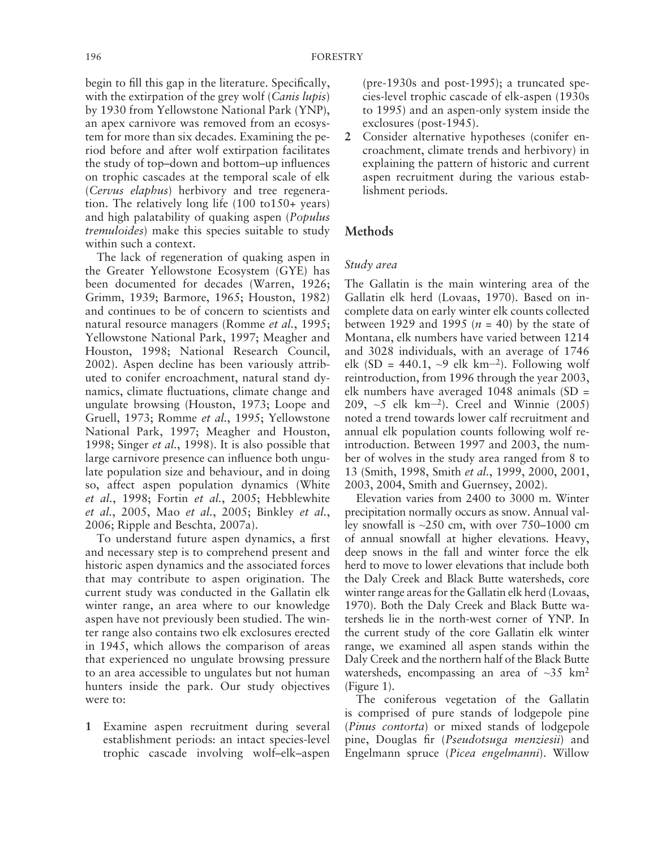begin to fill this gap in the literature. Specifically, with the extirpation of the grey wolf (*Canis lupis*) by 1930 from Yellowstone National Park (YNP), an apex carnivore was removed from an ecosystem for more than six decades. Examining the period before and after wolf extirpation facilitates the study of top-down and bottom-up influences on trophic cascades at the temporal scale of elk ( *Cervus elaphus*) herbivory and tree regeneration. The relatively long life (100 to150+ years) and high palatability of quaking aspen (*Populus tremuloides*) make this species suitable to study within such a context.

The lack of regeneration of quaking aspen in the Greater Yellowstone Ecosystem (GYE) has been documented for decades (Warren, 1926; Grimm, 1939; Barmore, 1965; Houston, 1982) and continues to be of concern to scientists and natural resource managers (Romme et al., 1995; Yellowstone National Park, 1997; Meagher and Houston, 1998; National Research Council, 2002). Aspen decline has been variously attributed to conifer encroachment, natural stand dynamics, climate fluctuations, climate change and ungulate browsing (Houston, 1973; Loope and Gruell, 1973; Romme et al., 1995; Yellowstone National Park, 1997; Meagher and Houston, 1998; Singer *et al.*, 1998). It is also possible that large carnivore presence can influence both ungulate population size and behaviour, and in doing so, affect aspen population dynamics (White *et al.*, 1998; Fortin *et al.*, 2005; Hebblewhite *et al.*, 2005, Mao *et al.*, 2005; Binkley *et al.*, 2006 ; Ripple and Beschta *,* 2007a ).

To understand future aspen dynamics, a first and necessary step is to comprehend present and historic aspen dynamics and the associated forces that may contribute to aspen origination. The current study was conducted in the Gallatin elk winter range, an area where to our knowledge aspen have not previously been studied. The winter range also contains two elk exclosures erected in 1945, which allows the comparison of areas that experienced no ungulate browsing pressure to an area accessible to ungulates but not human hunters inside the park. Our study objectives were to:

**1** Examine aspen recruitment during several establishment periods: an intact species-level trophic cascade involving wolf-elk-aspen (pre-1930s and post-1995); a truncated species-level trophic cascade of elk-aspen (1930s to 1995) and an aspen-only system inside the exclosures (post-1945).

**2** Consider alternative hypotheses (conifer encroachment, climate trends and herbivory) in explaining the pattern of historic and current aspen recruitment during the various establishment periods.

### **Methods**

#### *Study area*

The Gallatin is the main wintering area of the Gallatin elk herd (Lovaas, 1970). Based on incomplete data on early winter elk counts collected between 1929 and 1995  $(n = 40)$  by the state of Montana, elk numbers have varied between 1214 and 3028 individuals, with an average of 1746 elk (SD = 440.1,  $\sim$ 9 elk km<sup>-2</sup>). Following wolf reintroduction, from 1996 through the year 2003, elk numbers have averaged 1048 animals (SD = 209,  $\sim$ 5 elk km<sup>-2</sup>). Creel and Winnie (2005) noted a trend towards lower calf recruitment and annual elk population counts following wolf reintroduction. Between 1997 and 2003, the number of wolves in the study area ranged from 8 to 13 (Smith, 1998, Smith et al., 1999, 2000, 2001, 2003 , 2004, Smith and Guernsey, 2002 ).

Elevation varies from 2400 to 3000 m. Winter precipitation normally occurs as snow. Annual valley snowfall is  $\approx 250$  cm, with over 750–1000 cm of annual snowfall at higher elevations. Heavy, deep snows in the fall and winter force the elk herd to move to lower elevations that include both the Daly Creek and Black Butte watersheds, core winter range areas for the Gallatin elk herd (Lovaas, 1970). Both the Daly Creek and Black Butte watersheds lie in the north-west corner of YNP. In the current study of the core Gallatin elk winter range, we examined all aspen stands within the Daly Creek and the northern half of the Black Butte watersheds, encompassing an area of  $\sim 35$  km<sup>2</sup>  $(Figure 1)$ .

The coniferous vegetation of the Gallatin is comprised of pure stands of lodgepole pine ( *Pinus contorta*) or mixed stands of lodgepole pine, Douglas fir (*Pseudotsuga menziesii*) and Engelmann spruce ( *Picea engelmanni*). Willow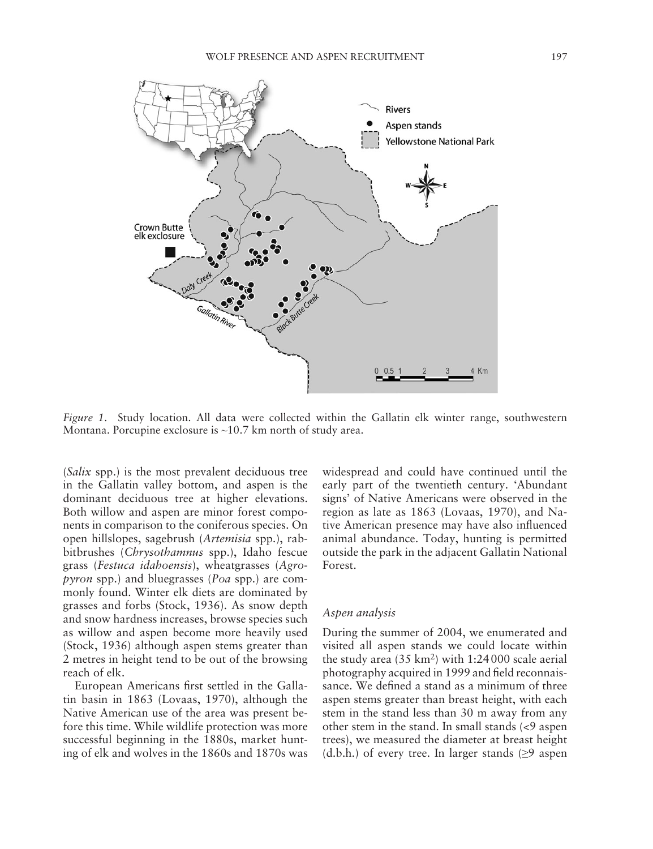

*Figure 1.* Study location. All data were collected within the Gallatin elk winter range, southwestern Montana. Porcupine exclosure is ~10.7 km north of study area.

( *Salix* spp.) is the most prevalent deciduous tree in the Gallatin valley bottom, and aspen is the dominant deciduous tree at higher elevations. Both willow and aspen are minor forest components in comparison to the coniferous species. On open hillslopes, sagebrush ( *Artemisia* spp.), rabbitbrushes ( *Chrysothamnus* spp.), Idaho fescue grass ( *Festuca idahoensis*), wheatgrasses ( *Agropyron* spp.) and bluegrasses (*Poa* spp.) are commonly found. Winter elk diets are dominated by grasses and forbs (Stock, 1936). As snow depth and snow hardness increases, browse species such as willow and aspen become more heavily used (Stock, 1936) although aspen stems greater than 2 metres in height tend to be out of the browsing reach of elk.

European Americans first settled in the Gallatin basin in 1863 (Lovaas, 1970), although the Native American use of the area was present before this time. While wildlife protection was more successful beginning in the 1880s, market hunting of elk and wolves in the 1860s and 1870s was

widespread and could have continued until the early part of the twentieth century. 'Abundant signs' of Native Americans were observed in the region as late as 1863 (Lovaas, 1970), and Native American presence may have also influenced animal abundance. Today, hunting is permitted outside the park in the adjacent Gallatin National Forest.

#### *Aspen analysis*

During the summer of 2004, we enumerated and visited all aspen stands we could locate within the study area  $(35 \text{ km}^2)$  with 1:24000 scale aerial photography acquired in 1999 and field reconnaissance. We defined a stand as a minimum of three aspen stems greater than breast height, with each stem in the stand less than 30 m away from any other stem in the stand. In small stands (<9 aspen trees), we measured the diameter at breast height (d.b.h.) of every tree. In larger stands  $\geq 9$  aspen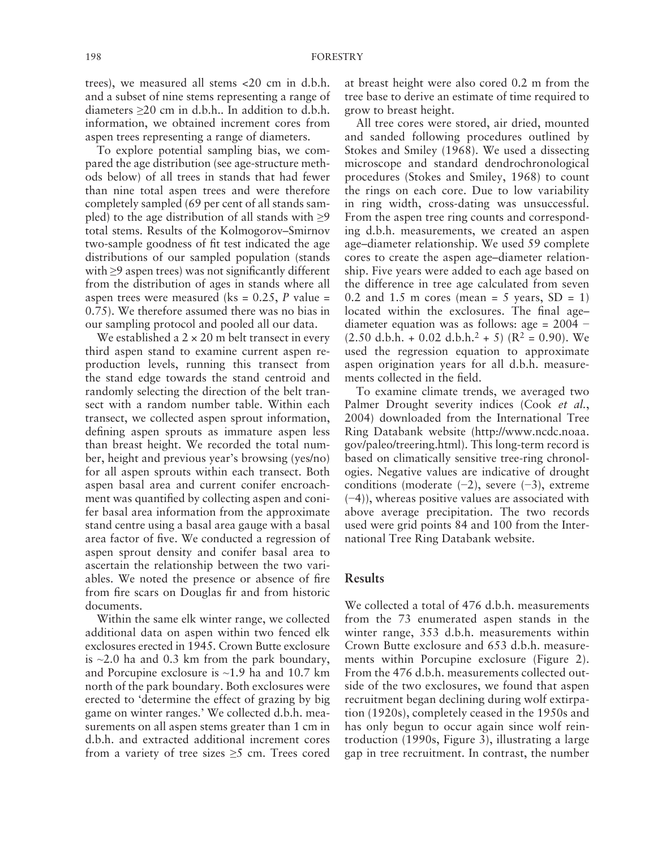trees), we measured all stems <20 cm in d.b.h. and a subset of nine stems representing a range of diameters ≥20 cm in d.b.h.. In addition to d.b.h. information, we obtained increment cores from aspen trees representing a range of diameters.

To explore potential sampling bias, we compared the age distribution (see age-structure methods below) of all trees in stands that had fewer than nine total aspen trees and were therefore completely sampled (69 per cent of all stands sampled) to the age distribution of all stands with  $\geq 9$ total stems. Results of the Kolmogorov-Smirnov two-sample goodness of fit test indicated the age distributions of our sampled population (stands with  $\geq$ 9 aspen trees) was not significantly different from the distribution of ages in stands where all aspen trees were measured ( $ks = 0.25$ , *P* value = 0.75). We therefore assumed there was no bias in our sampling protocol and pooled all our data.

We established a  $2 \times 20$  m belt transect in every third aspen stand to examine current aspen reproduction levels, running this transect from the stand edge towards the stand centroid and randomly selecting the direction of the belt transect with a random number table. Within each transect, we collected aspen sprout information, defining aspen sprouts as immature aspen less than breast height. We recorded the total number, height and previous year's browsing (yes/no) for all aspen sprouts within each transect. Both aspen basal area and current conifer encroachment was quantified by collecting aspen and conifer basal area information from the approximate stand centre using a basal area gauge with a basal area factor of five. We conducted a regression of aspen sprout density and conifer basal area to ascertain the relationship between the two variables. We noted the presence or absence of fire from fire scars on Douglas fir and from historic documents.

Within the same elk winter range, we collected additional data on aspen within two fenced elk exclosures erected in 1945. Crown Butte exclosure is  $\approx$  2.0 ha and 0.3 km from the park boundary, and Porcupine exclosure is ~1.9 ha and 10.7 km north of the park boundary. Both exclosures were erected to 'determine the effect of grazing by big game on winter ranges. 'We collected d.b.h. measurements on all aspen stems greater than 1 cm in d.b.h. and extracted additional increment cores from a variety of tree sizes  $\geq$ 5 cm. Trees cored at breast height were also cored 0.2 m from the tree base to derive an estimate of time required to grow to breast height.

All tree cores were stored, air dried, mounted and sanded following procedures outlined by Stokes and Smiley (1968). We used a dissecting microscope and standard dendrochronological procedures (Stokes and Smiley, 1968) to count the rings on each core. Due to low variability in ring width, cross-dating was unsuccessful. From the aspen tree ring counts and corresponding d.b.h. measurements, we created an aspen age – diameter relationship. We used 59 complete cores to create the aspen age-diameter relationship. Five years were added to each age based on the difference in tree age calculated from seven 0.2 and 1.5 m cores (mean = 5 years,  $SD = 1$ ) located within the exclosures. The final agediameter equation was as follows: age = 2004 −  $(2.50$  d.b.h. + 0.02 d.b.h.<sup>2</sup> + 5) ( $R^2 = 0.90$ ). We used the regression equation to approximate aspen origination years for all d.b.h. measurements collected in the field.

To examine climate trends, we averaged two Palmer Drought severity indices (Cook et al., 2004) downloaded from the International Tree Ring Databank website [\( http://www.ncdc.noaa.](http://www.ncdc.noaa.gov/paleo/treering.html) gov/paleo/treering.html). This long-term record is based on climatically sensitive tree-ring chronologies. Negative values are indicative of drought conditions (moderate  $(-2)$ , severe  $(-3)$ , extreme ( −4)), whereas positive values are associated with above average precipitation. The two records used were grid points 84 and 100 from the International Tree Ring Databank website.

# **Results**

We collected a total of 476 d.b.h. measurements from the 73 enumerated aspen stands in the winter range, 353 d.b.h. measurements within Crown Butte exclosure and 653 d.b.h. measurements within Porcupine exclosure (Figure 2). From the 476 d.b.h. measurements collected outside of the two exclosures, we found that aspen recruitment began declining during wolf extirpation (1920s), completely ceased in the 1950s and has only begun to occur again since wolf reintroduction (1990s, Figure 3), illustrating a large gap in tree recruitment. In contrast, the number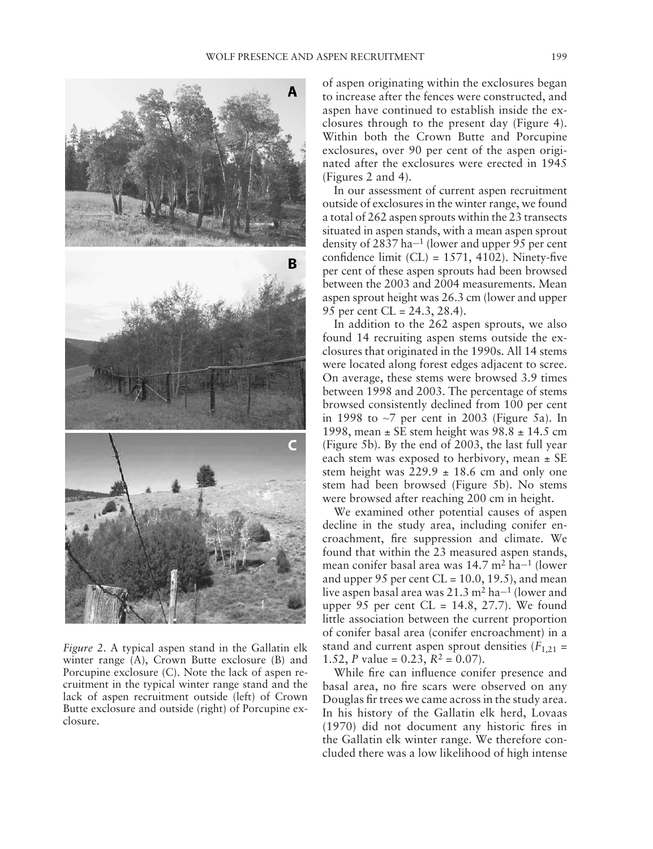

*Figure 2.* A typical aspen stand in the Gallatin elk winter range (A), Crown Butte exclosure (B) and Porcupine exclosure (C). Note the lack of aspen recruitment in the typical winter range stand and the lack of aspen recruitment outside (left) of Crown Butte exclosure and outside (right) of Porcupine exclosure.

of aspen originating within the exclosures began to increase after the fences were constructed, and aspen have continued to establish inside the exclosures through to the present day (Figure 4). Within both the Crown Butte and Porcupine exclosures, over 90 per cent of the aspen originated after the exclosures were erected in 1945  $(Figures 2 and 4)$ .

In our assessment of current aspen recruitment outside of exclosures in the winter range, we found a total of 262 aspen sprouts within the 23 transects situated in aspen stands, with a mean aspen sprout density of 2837 ha<sup> $-1$ </sup> (lower and upper 95 per cent confidence limit  $(CL) = 1571, 4102$ ). Ninety-five per cent of these aspen sprouts had been browsed between the 2003 and 2004 measurements. Mean aspen sprout height was 26.3 cm (lower and upper 95 per cent CL = 24.3, 28.4).

In addition to the 262 aspen sprouts, we also found 14 recruiting aspen stems outside the exclosures that originated in the 1990s. All 14 stems were located along forest edges adjacent to scree. On average, these stems were browsed 3.9 times between 1998 and 2003. The percentage of stems browsed consistently declined from 100 per cent in 1998 to  $\sim$ 7 per cent in 2003 (Figure 5a). In 1998, mean  $\pm$  SE stem height was 98.8  $\pm$  14.5 cm (Figure 5b). By the end of  $2003$ , the last full year each stem was exposed to herbivory, mean  $\pm$  SE stem height was  $229.9 \pm 18.6$  cm and only one stem had been browsed (Figure 5b). No stems were browsed after reaching 200 cm in height.

We examined other potential causes of aspen decline in the study area, including conifer encroachment, fire suppression and climate. We found that within the 23 measured aspen stands, mean conifer basal area was 14.7 m<sup>2</sup> ha<sup>-1</sup> (lower and upper 95 per cent  $CL = 10.0, 19.5$ , and mean live aspen basal area was  $21.3 \text{ m}^2$  ha $-1$  (lower and upper 95 per cent  $CL = 14.8, 27.7$ . We found little association between the current proportion of conifer basal area (conifer encroachment) in a stand and current aspen sprout densities  $(F_{1,21} =$ 1.52, *P* value = 0.23,  $R^2 = 0.07$ .

While fire can influence conifer presence and basal area, no fire scars were observed on any Douglas fir trees we came across in the study area. In his history of the Gallatin elk herd, Lovaas  $(1970)$  did not document any historic fires in the Gallatin elk winter range. We therefore concluded there was a low likelihood of high intense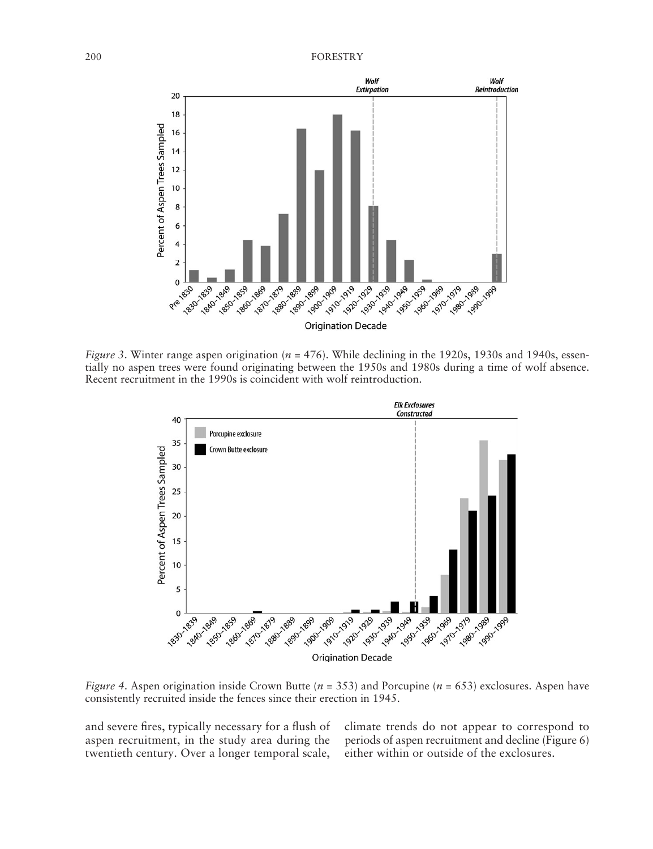

*Figure 3*. Winter range aspen origination ( $n = 476$ ). While declining in the 1920s, 1930s and 1940s, essentially no aspen trees were found originating between the 1950s and 1980s during a time of wolf absence. Recent recruitment in the 1990s is coincident with wolf reintroduction.



*Figure 4.* Aspen origination inside Crown Butte ( $n = 353$ ) and Porcupine ( $n = 653$ ) exclosures. Aspen have consistently recruited inside the fences since their erection in 1945.

and severe fires, typically necessary for a flush of aspen recruitment, in the study area during the twentieth century. Over a longer temporal scale, climate trends do not appear to correspond to periods of aspen recruitment and decline (Figure 6) either within or outside of the exclosures.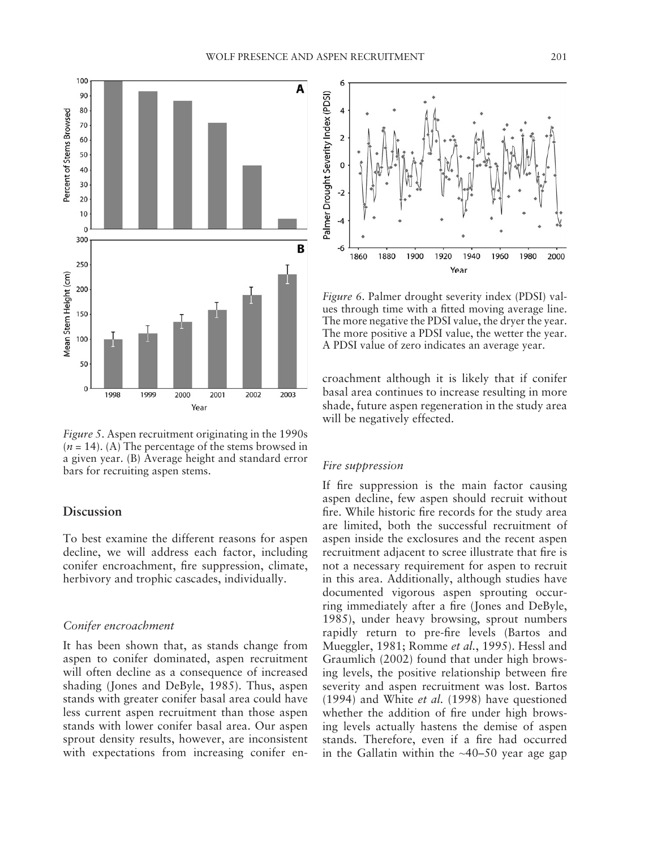

*Figure 5*. Aspen recruitment originating in the 1990s  $(n = 14)$ . (A) The percentage of the stems browsed in a given year. (B) Average height and standard error bars for recruiting aspen stems.

# **Discussion**

To best examine the different reasons for aspen decline, we will address each factor, including conifer encroachment, fire suppression, climate, herbivory and trophic cascades, individually.

#### *Conifer encroachment*

It has been shown that, as stands change from aspen to conifer dominated, aspen recruitment will often decline as a consequence of increased shading (Jones and DeByle, 1985). Thus, aspen stands with greater conifer basal area could have less current aspen recruitment than those aspen stands with lower conifer basal area. Our aspen sprout density results, however, are inconsistent with expectations from increasing conifer en-



*Figure 6.* Palmer drought severity index (PDSI) values through time with a fitted moving average line. The more negative the PDSI value, the dryer the year. The more positive a PDSI value, the wetter the year. A PDSI value of zero indicates an average year.

croachment although it is likely that if conifer basal area continues to increase resulting in more shade, future aspen regeneration in the study area will be negatively effected.

#### *Fire suppression*

If fire suppression is the main factor causing aspen decline, few aspen should recruit without fire. While historic fire records for the study area are limited, both the successful recruitment of aspen inside the exclosures and the recent aspen recruitment adjacent to scree illustrate that fire is not a necessary requirement for aspen to recruit in this area. Additionally, although studies have documented vigorous aspen sprouting occurring immediately after a fire (Jones and DeByle, 1985), under heavy browsing, sprout numbers rapidly return to pre-fire levels (Bartos and Mueggler, 1981; Romme *et al.*, 1995). Hessl and Graumlich (2002) found that under high browsing levels, the positive relationship between fire severity and aspen recruitment was lost. Bartos (1994) and White  $et$  al. (1998) have questioned whether the addition of fire under high browsing levels actually hastens the demise of aspen stands. Therefore, even if a fire had occurred in the Gallatin within the  $~40-50$  year age gap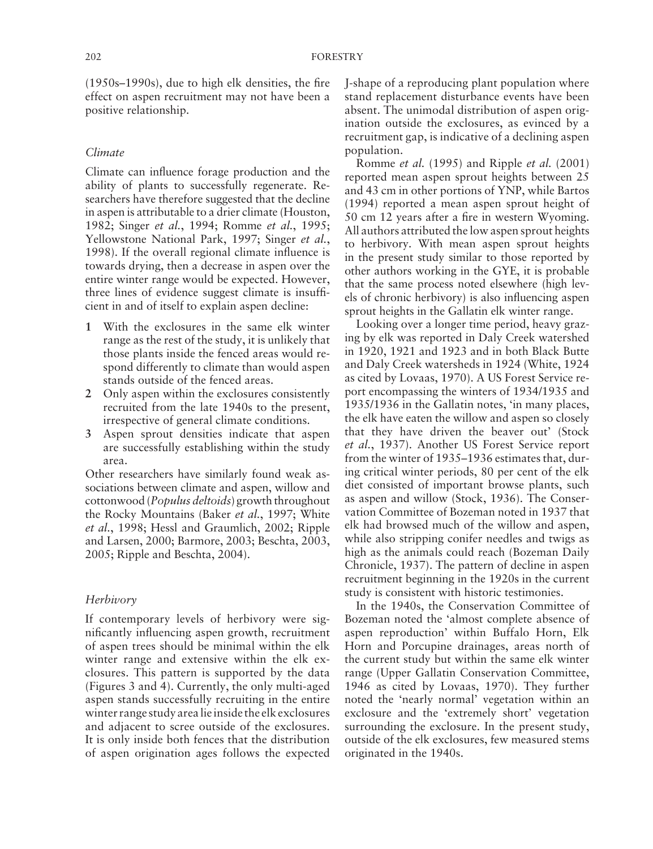$(1950s - 1990s)$ , due to high elk densities, the fire effect on aspen recruitment may not have been a positive relationship.

#### *Climate*

Climate can influence forage production and the ability of plants to successfully regenerate. Researchers have therefore suggested that the decline in aspen is attributable to a drier climate (Houston, 1982; Singer et al., 1994; Romme et al., 1995; Yellowstone National Park, 1997; Singer et al., 1998). If the overall regional climate influence is towards drying, then a decrease in aspen over the entire winter range would be expected. However, three lines of evidence suggest climate is insufficient in and of itself to explain aspen decline:

- **1** With the exclosures in the same elk winter range as the rest of the study, it is unlikely that those plants inside the fenced areas would respond differently to climate than would aspen stands outside of the fenced areas.
- **2** Only aspen within the exclosures consistently recruited from the late 1940s to the present, irrespective of general climate conditions.
- **3** Aspen sprout densities indicate that aspen are successfully establishing within the study area.

Other researchers have similarly found weak associations between climate and aspen, willow and cottonwood ( *Populus deltoids*) growth throughout the Rocky Mountains (Baker *et al.*, 1997; White *et al.*, 1998; Hessl and Graumlich, 2002; Ripple and Larsen, 2000; Barmore, 2003; Beschta, 2003, 2005; Ripple and Beschta, 2004).

#### *Herbivory*

If contemporary levels of herbivory were significantly influencing aspen growth, recruitment of aspen trees should be minimal within the elk winter range and extensive within the elk exclosures. This pattern is supported by the data (Figures 3 and 4). Currently, the only multi-aged aspen stands successfully recruiting in the entire winter range study area lie inside the elk exclosures and adjacent to scree outside of the exclosures. It is only inside both fences that the distribution of aspen origination ages follows the expected J-shape of a reproducing plant population where stand replacement disturbance events have been absent. The unimodal distribution of aspen origination outside the exclosures, as evinced by a recruitment gap, is indicative of a declining aspen population.

Romme *et al.* (1995)and Ripple *et al.* (2001) reported mean aspen sprout heights between 25 and 43 cm in other portions of YNP, while Bartos  $(1994)$  reported a mean aspen sprout height of 50 cm 12 years after a fire in western Wyoming. All authors attributed the low aspen sprout heights to herbivory. With mean aspen sprout heights in the present study similar to those reported by other authors working in the GYE, it is probable that the same process noted elsewhere (high levels of chronic herbivory) is also influencing aspen sprout heights in the Gallatin elk winter range.

Looking over a longer time period, heavy grazing by elk was reported in Daly Creek watershed in 1920, 1921 and 1923 and in both Black Butte and Daly Creek watersheds in 1924 ( White, 1924 as cited by Lovaas, 1970). A US Forest Service report encompassing the winters of 1934/1935 and 1935/1936 in the Gallatin notes, 'in many places, the elk have eaten the willow and aspen so closely that they have driven the beaver out' (Stock et al., 1937). Another US Forest Service report from the winter of 1935-1936 estimates that, during critical winter periods, 80 per cent of the elk diet consisted of important browse plants, such as aspen and willow (Stock, 1936). The Conservation Committee of Bozeman noted in 1937 that elk had browsed much of the willow and aspen, while also stripping conifer needles and twigs as high as the animals could reach (Bozeman Daily Chronicle, 1937). The pattern of decline in aspen recruitment beginning in the 1920s in the current study is consistent with historic testimonies.

In the 1940s, the Conservation Committee of Bozeman noted the 'almost complete absence of aspen reproduction' within Buffalo Horn, Elk Horn and Porcupine drainages, areas north of the current study but within the same elk winter range (Upper Gallatin Conservation Committee, 1946 as cited by Lovaas, 1970). They further noted the 'nearly normal' vegetation within an exclosure and the 'extremely short' vegetation surrounding the exclosure. In the present study, outside of the elk exclosures, few measured stems originated in the 1940s.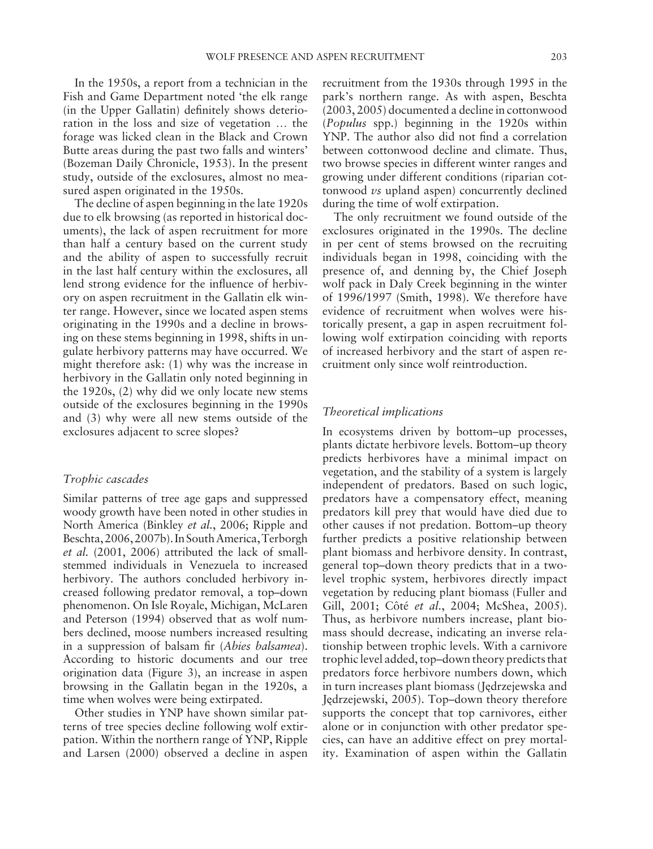In the 1950s, a report from a technician in the Fish and Game Department noted 'the elk range (in the Upper Gallatin) definitely shows deterioration in the loss and size of vegetation … the forage was licked clean in the Black and Crown Butte areas during the past two falls and winters' ( Bozeman Daily Chronicle, 1953 ). In the present study, outside of the exclosures, almost no measured aspen originated in the 1950s.

The decline of aspen beginning in the late 1920s due to elk browsing (as reported in historical documents), the lack of aspen recruitment for more than half a century based on the current study and the ability of aspen to successfully recruit in the last half century within the exclosures, all lend strong evidence for the influence of herbivory on aspen recruitment in the Gallatin elk winter range. However, since we located aspen stems originating in the 1990s and a decline in browsing on these stems beginning in 1998, shifts in ungulate herbivory patterns may have occurred. We might therefore ask: (1) why was the increase in herbivory in the Gallatin only noted beginning in the 1920s, (2) why did we only locate new stems outside of the exclosures beginning in the 1990s and (3) why were all new stems outside of the exclosures adjacent to scree slopes?

## *Trophic cascades*

Similar patterns of tree age gaps and suppressed woody growth have been noted in other studies in North America (Binkley *et al.*, 2006; Ripple and Beschta, 2006, 2007b). In South America, Terborgh *et al.* (2001, 2006) attributed the lack of smallstemmed individuals in Venezuela to increased herbivory. The authors concluded herbivory increased following predator removal, a top-down phenomenon. On Isle Royale, Michigan, McLaren and Peterson (1994) observed that as wolf numbers declined, moose numbers increased resulting in a suppression of balsam fir (*Abies balsamea*). According to historic documents and our tree origination data (Figure 3), an increase in aspen browsing in the Gallatin began in the 1920s, a time when wolves were being extirpated.

Other studies in YNP have shown similar patterns of tree species decline following wolf extirpation. Within the northern range of YNP, Ripple and Larsen (2000) observed a decline in aspen recruitment from the 1930s through 1995 in the park's northern range. As with aspen, Beschta  $(2003, 2005)$  documented a decline in cottonwood ( *Populus* spp.) beginning in the 1920s within YNP. The author also did not find a correlation between cottonwood decline and climate. Thus, two browse species in different winter ranges and growing under different conditions (riparian cottonwood *vs* upland aspen) concurrently declined during the time of wolf extirpation.

The only recruitment we found outside of the exclosures originated in the 1990s. The decline in per cent of stems browsed on the recruiting individuals began in 1998, coinciding with the presence of, and denning by, the Chief Joseph wolf pack in Daly Creek beginning in the winter of 1996/1997 (Smith, 1998). We therefore have evidence of recruitment when wolves were historically present, a gap in aspen recruitment following wolf extirpation coinciding with reports of increased herbivory and the start of aspen recruitment only since wolf reintroduction.

#### *Theoretical implications*

In ecosystems driven by bottom-up processes, plants dictate herbivore levels. Bottom-up theory predicts herbivores have a minimal impact on vegetation, and the stability of a system is largely independent of predators. Based on such logic, predators have a compensatory effect, meaning predators kill prey that would have died due to other causes if not predation. Bottom-up theory further predicts a positive relationship between plant biomass and herbivore density. In contrast, general top-down theory predicts that in a twolevel trophic system, herbivores directly impact vegetation by reducing plant biomass (Fuller and Gill, 2001; Côté et al., 2004; McShea, 2005). Thus, as herbivore numbers increase, plant biomass should decrease, indicating an inverse relationship between trophic levels. With a carnivore trophic level added, top – down theory predicts that predators force herbivore numbers down, which in turn increases plant biomass (Jędrzejewska and Jędrzejewski, 2005). Top-down theory therefore supports the concept that top carnivores, either alone or in conjunction with other predator species, can have an additive effect on prey mortality. Examination of aspen within the Gallatin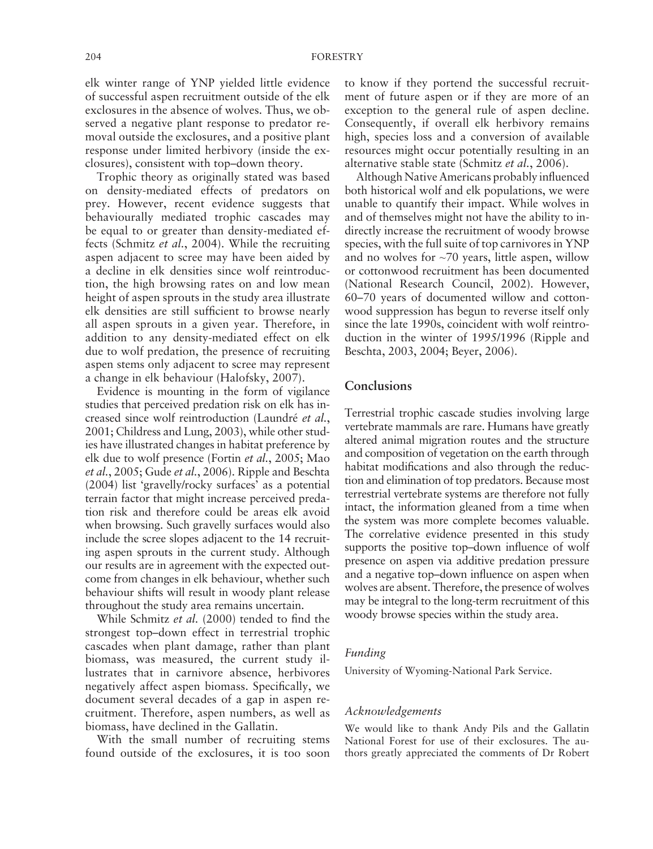elk winter range of YNP yielded little evidence of successful aspen recruitment outside of the elk exclosures in the absence of wolves. Thus, we observed a negative plant response to predator removal outside the exclosures, and a positive plant response under limited herbivory (inside the exclosures), consistent with top-down theory.

Trophic theory as originally stated was based on density-mediated effects of predators on prey. However, recent evidence suggests that behaviourally mediated trophic cascades may be equal to or greater than density-mediated effects (Schmitz *et al.*, 2004). While the recruiting aspen adjacent to scree may have been aided by a decline in elk densities since wolf reintroduction, the high browsing rates on and low mean height of aspen sprouts in the study area illustrate elk densities are still sufficient to browse nearly all aspen sprouts in a given year. Therefore, in addition to any density-mediated effect on elk due to wolf predation, the presence of recruiting aspen stems only adjacent to scree may represent a change in elk behaviour (Halofsky, 2007).

Evidence is mounting in the form of vigilance studies that perceived predation risk on elk has increased since wolf reintroduction ( Laundré *et al.*, 2001; Childress and Lung, 2003), while other studies have illustrated changes in habitat preference by elk due to wolf presence (Fortin *et al.*, 2005; Mao et al., 2005; Gude et al., 2006). Ripple and Beschta  $(2004)$  list 'gravelly/rocky surfaces' as a potential terrain factor that might increase perceived predation risk and therefore could be areas elk avoid when browsing. Such gravelly surfaces would also include the scree slopes adjacent to the 14 recruiting aspen sprouts in the current study. Although our results are in agreement with the expected outcome from changes in elk behaviour, whether such behaviour shifts will result in woody plant release throughout the study area remains uncertain.

While Schmitz et al. (2000) tended to find the strongest top-down effect in terrestrial trophic cascades when plant damage, rather than plant biomass, was measured, the current study illustrates that in carnivore absence, herbivores negatively affect aspen biomass. Specifically, we document several decades of a gap in aspen recruitment. Therefore, aspen numbers, as well as biomass, have declined in the Gallatin.

With the small number of recruiting stems found outside of the exclosures, it is too soon to know if they portend the successful recruitment of future aspen or if they are more of an exception to the general rule of aspen decline. Consequently, if overall elk herbivory remains high, species loss and a conversion of available resources might occur potentially resulting in an alternative stable state ( Schmitz *et al.*, 2006 ).

Although Native Americans probably influenced both historical wolf and elk populations, we were unable to quantify their impact. While wolves in and of themselves might not have the ability to indirectly increase the recruitment of woody browse species, with the full suite of top carnivores in YNP and no wolves for  $\sim$ 70 years, little aspen, willow or cottonwood recruitment has been documented (National Research Council, 2002). However, 60-70 years of documented willow and cottonwood suppression has begun to reverse itself only since the late 1990s, coincident with wolf reintroduction in the winter of 1995/1996 (Ripple and Beschta, 2003, 2004; Beyer, 2006).

# **Conclusions**

Terrestrial trophic cascade studies involving large vertebrate mammals are rare. Humans have greatly altered animal migration routes and the structure and composition of vegetation on the earth through habitat modifications and also through the reduction and elimination of top predators. Because most terrestrial vertebrate systems are therefore not fully intact, the information gleaned from a time when the system was more complete becomes valuable. The correlative evidence presented in this study supports the positive top-down influence of wolf presence on aspen via additive predation pressure and a negative top-down influence on aspen when wolves are absent. Therefore, the presence of wolves may be integral to the long-term recruitment of this woody browse species within the study area.

#### *Funding*

University of Wyoming-National Park Service.

#### *Acknowledgements*

We would like to thank Andy Pils and the Gallatin National Forest for use of their exclosures. The authors greatly appreciated the comments of Dr Robert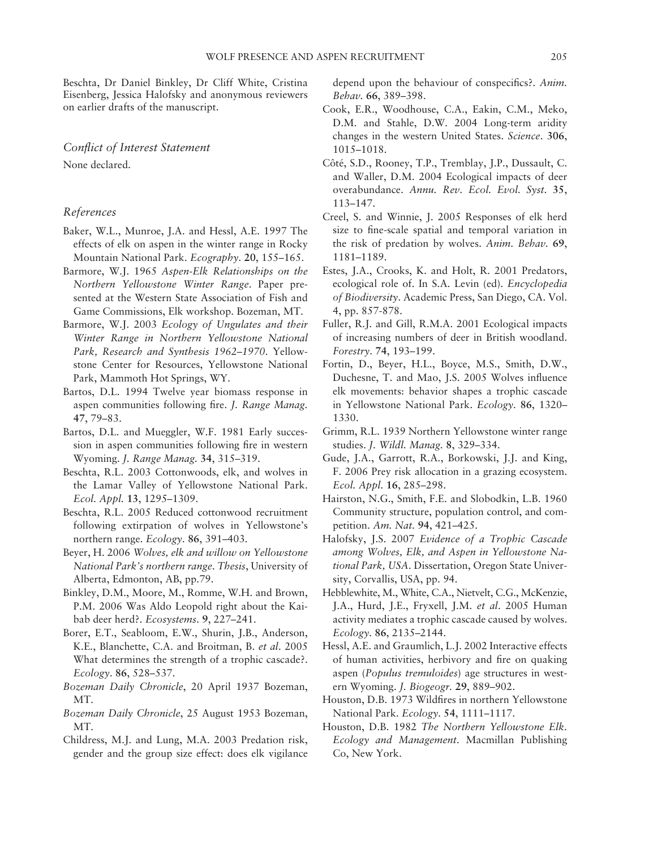Beschta, Dr Daniel Binkley, Dr Cliff White, Cristina Eisenberg, Jessica Halofsky and anonymous reviewers on earlier drafts of the manuscript.

# *Conflict of Interest Statement*

None declared.

#### *References*

- Baker, W.L., Munroe, J.A. and Hessl, A.E. 1997 The effects of elk on aspen in the winter range in Rocky Mountain National Park. *Ecography*. 20, 155-165.
- Barmore, W.J. 1965 Aspen-Elk Relationships on the *Northern Yellowstone Winter Range*. Paper presented at the Western State Association of Fish and Game Commissions, Elk workshop. Bozeman, MT.
- Barmore, W.J. 2003 *Ecology of Ungulates and their Winter Range in Northern Yellowstone National*  Park, Research and Synthesis 1962-1970. Yellowstone Center for Resources, Yellowstone National Park, Mammoth Hot Springs, WY .
- Bartos, D.L. 1994 Twelve year biomass response in aspen communities following fire. *J. Range Manag.* **47**, 79 – 83 .
- Bartos, D.L. and Mueggler, W.F. 1981 Early succession in aspen communities following fire in western Wyoming . *J. Range Manag.* **34**, 315 – 319 .
- Beschta, R.L. 2003 Cottonwoods, elk, and wolves in the Lamar Valley of Yellowstone National Park. *Ecol. Appl.* **13**, 1295 – 1309 .
- Beschta, R.L. 2005 Reduced cottonwood recruitment following extirpation of wolves in Yellowstone's northern range. *Ecology*. 86, 391-403.
- Beyer , H. 2006 *Wolves, elk and willow on Yellowstone National Park's northern range*. *Thesis*, University of Alberta, Edmonton, AB, pp.79.
- Binkley, D.M., Moore, M., Romme, W.H. and Brown, P.M. 2006 Was Aldo Leopold right about the Kaibab deer herd? . *Ecosystems*. **9**, 227 – 241 .
- Borer, E.T., Seabloom, E.W., Shurin, J.B., Anderson, K.E., Blanchette, C.A. and Broitman, B. et al. 2005 What determines the strength of a trophic cascade?. *Ecology*. **86**, 528 – 537 .
- *Bozeman Daily Chronicle* , 20 April 1937 Bozeman, MT.
- *Bozeman Daily Chronicle* , 25 August 1953 Bozeman, MT.
- Childress, M.J. and Lung, M.A. 2003 Predation risk, gender and the group size effect: does elk vigilance

depend upon the behaviour of conspecifics?. *Anim. Behav.* **66**, 389 – 398 .

- Cook, E.R., Woodhouse, C.A., Eakin, C.M., Meko, D.M. and Stahle, D.W. 2004 Long-term aridity changes in the western United States . *Science*. **306**, 1015 – 1018.
- Côté, S.D., Rooney, T.P., Tremblay, J.P., Dussault, C. and Waller, D.M. 2004 Ecological impacts of deer overabundance . *Annu. Rev. Ecol. Evol. Syst.* **35**, 113 – 147.
- Creel, S. and Winnie, J. 2005 Responses of elk herd size to fine-scale spatial and temporal variation in the risk of predation by wolves . *Anim. Behav.* **69**, 1181 – 1189.
- Estes, J.A., Crooks, K. and Holt, R. 2001 Predators, ecological role of.In S.A. Levin(ed). *Encyclopedia of Biodiversity*. Academic Press, San Diego, CA. Vol. 4, pp. 857-878.
- Fuller, R.J. and Gill, R.M.A. 2001 Ecological impacts of increasing numbers of deer in British woodland. *Forestry*. **74**, 193 – 199 .
- Fortin, D., Beyer, H.L., Boyce, M.S., Smith, D.W., Duchesne, T. and Mao, J.S. 2005 Wolves influence elk movements: behavior shapes a trophic cascade in Yellowstone National Park. *Ecology*. 86, 1320-1330.
- Grimm, R.L. 1939 Northern Yellowstone winter range studies . *J. Wildl. Manag.* **8**, 329 – 334 .
- Gude, J.A., Garrott, R.A., Borkowski, J.J. and King, F. 2006 Prey risk allocation in a grazing ecosystem . *Ecol. Appl.* 16, 285-298.
- Hairston, N.G., Smith, F.E. and Slobodkin, L.B. 1960 Community structure, population control, and competition. Am. Nat. 94, 421-425.
- Halofsky , J.S. 2007 *Evidence of a Trophic Cascade among Wolves, Elk, and Aspen in Yellowstone National Park, USA. Dissertation, Oregon State Univer*sity, Corvallis, USA, pp. 94.
- Hebblewhite, M., White, C.A., Nietvelt, C.G., McKenzie, J.A., Hurd, J.E., Fryxell, J.M. et al. 2005 Human activity mediates a trophic cascade caused by wolves . *Ecology*. **86**, 2135 – 2144 .
- Hessl, A.E. and Graumlich, L.J. 2002 Interactive effects of human activities, herbivory and fire on quaking aspen ( *Populus tremuloides*) age structures in western Wyoming . *J. Biogeogr.* **29**, 889 – 902 .
- Houston, D.B. 1973 Wildfires in northern Yellowstone National Park . *Ecology*. **54**, 1111 – 1117 .
- Houston , D.B. 1982 *The Northern Yellowstone Elk. Ecology and Management*. Macmillan Publishing Co, New York.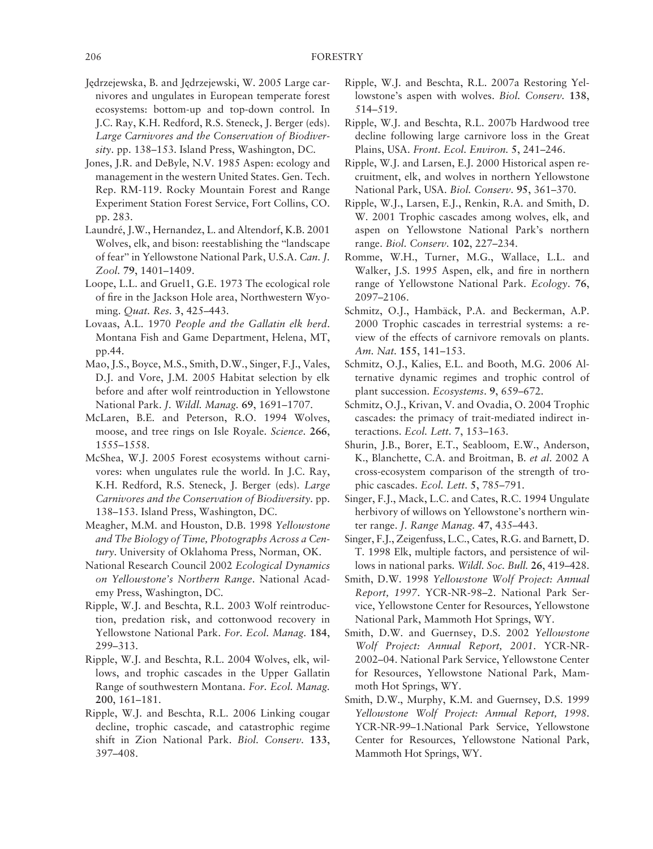- Jędrzejewska, B. and Jędrzejewski, W. 2005 Large carnivores and ungulates in European temperate forest ecosystems: bottom-up and top-down control. In J.C. Ray, K.H. Redford, R.S. Steneck, J. Berger (eds). *Large Carnivores and the Conservation of Biodiver*sity. pp. 138-153. Island Press, Washington, DC.
- Jones, J.R. and DeByle, N.V. 1985 Aspen: ecology and management in the western United States. Gen. Tech. Rep. RM-119. Rocky Mountain Forest and Range Experiment Station Forest Service , Fort Collins, CO. pp. 283.
- Laundré, J.W., Hernandez, L. and Altendorf, K.B. 2001 Wolves, elk, and bison: reestablishing the "landscape of fear " in Yellowstone National Park, U.S.A . *Can. J. Zool.* **79**, 1401 – 1409 .
- Loope, L.L. and Gruel1, G.E. 1973 The ecological role of fire in the Jackson Hole area, Northwestern Wyoming. *Quat. Res.* 3, 425–443.
- Lovaas, A.L. 1970 People and the Gallatin elk herd. Montana Fish and Game Department, Helena, MT, pp. 44.
- Mao, J.S., Boyce, M.S., Smith, D.W., Singer, F.J., Vales, D.J. and Vore, J.M. 2005 Habitat selection by elk before and after wolf reintroduction in Yellowstone National Park. *J. Wildl. Manag.* 69, 1691-1707.
- McLaren, B.E. and Peterson, R.O. 1994 Wolves, moose, and tree rings on Isle Royale . *Science*. **266**, 1555-1558.
- McShea, W.J. 2005 Forest ecosystems without carnivores: when ungulates rule the world. In J.C. Ray, K.H. Redford, R.S. Steneck, J. Berger (eds). *Large Carnivores and the Conservation of Biodiversity*. pp. 138-153. Island Press, Washington, DC.
- Meagher, M.M. and Houston, D.B. 1998 *Yellowstone and The Biology of Time, Photographs Across a Cen*tury. University of Oklahoma Press, Norman, OK.
- National Research Council 2002 *Ecological Dynamics on Yellowstone's Northern Range*. National Academy Press, Washington, DC.
- Ripple, W.J. and Beschta, R.L. 2003 Wolf reintroduction, predation risk, and cottonwood recovery in Yellowstone National Park . *For. Ecol. Manag.* **184**, 299 – 313.
- Ripple, W.J. and Beschta, R.L. 2004 Wolves, elk, willows, and trophic cascades in the Upper Gallatin Range of southwestern Montana . *For. Ecol. Manag.* 200, 161-181.
- Ripple, W.J. and Beschta, R.L. 2006 Linking cougar decline, trophic cascade, and catastrophic regime shift in Zion National Park . *Biol. Conserv.* **133**, 397-408.
- Ripple, W.J. and Beschta, R.L. 2007a Restoring Yellowstone's aspen with wolves . *Biol. Conserv.* **138**, 514 – 519.
- Ripple, W.J. and Beschta, R.L. 2007b Hardwood tree decline following large carnivore loss in the Great Plains, USA. *Front. Ecol. Environ.* 5, 241-246.
- Ripple, W.J. and Larsen, E.J. 2000 Historical aspen recruitment, elk, and wolves in northern Yellowstone National Park, USA. *Biol. Conserv.* 95, 361-370.
- Ripple, W.J., Larsen, E.J., Renkin, R.A. and Smith, D. W. 2001 Trophic cascades among wolves, elk, and aspen on Yellowstone National Park's northern range. *Biol. Conserv.* 102, 227-234.
- Romme, W.H., Turner, M.G., Wallace, L.L. and Walker, J.S. 1995 Aspen, elk, and fire in northern range of Yellowstone National Park . *Ecology*. **76**, 2097-2106.
- Schmitz, O.J., Hambäck, P.A. and Beckerman, A.P. 2000 Trophic cascades in terrestrial systems: a review of the effects of carnivore removals on plants . Am. Nat. 155, 141-153.
- Schmitz, O.J., Kalies, E.L. and Booth, M.G. 2006 Alternative dynamic regimes and trophic control of plant succession. *Ecosystems*. 9, 659-672.
- Schmitz, O.J., Krivan, V. and Ovadia, O. 2004 Trophic cascades: the primacy of trait-mediated indirect interactions. *Ecol. Lett.* 7, 153-163.
- Shurin, J.B., Borer, E.T., Seabloom, E.W., Anderson, K., Blanchette, C.A. and Broitman, B. et al. 2002 A. cross-ecosystem comparison of the strength of trophic cascades . *Ecol. Lett.* **5**, 785 – 791 .
- Singer, F.J., Mack, L.C. and Cates, R.C. 1994 Ungulate herbivory of willows on Yellowstone's northern winter range . *J. Range Manag.* **47**, 435 – 443 .
- Singer, F.J., Zeigenfuss, L.C., Cates, R.G. and Barnett, D. T. 1998 Elk, multiple factors, and persistence of willows in national parks. *Wildl. Soc. Bull.* 26, 419–428.
- Smith, D.W. 1998 *Yellowstone Wolf Project: Annual Report, 1997. YCR-NR-98-2. National Park Ser*vice, Yellowstone Center for Resources, Yellowstone National Park, Mammoth Hot Springs, WY.
- Smith, D.W. and Guernsey, D.S. 2002 *Yellowstone Wolf Project: Annual Report, 2001*. YCR-NR-2002-04. National Park Service, Yellowstone Center for Resources, Yellowstone National Park, Mammoth Hot Springs, WY .
- Smith, D.W., Murphy, K.M. and Guernsey, D.S. 1999 *Yellowstone Wolf Project: Annual Report, 1998*. YCR-NR-99-1. National Park Service, Yellowstone Center for Resources, Yellowstone National Park, Mammoth Hot Springs, WY .